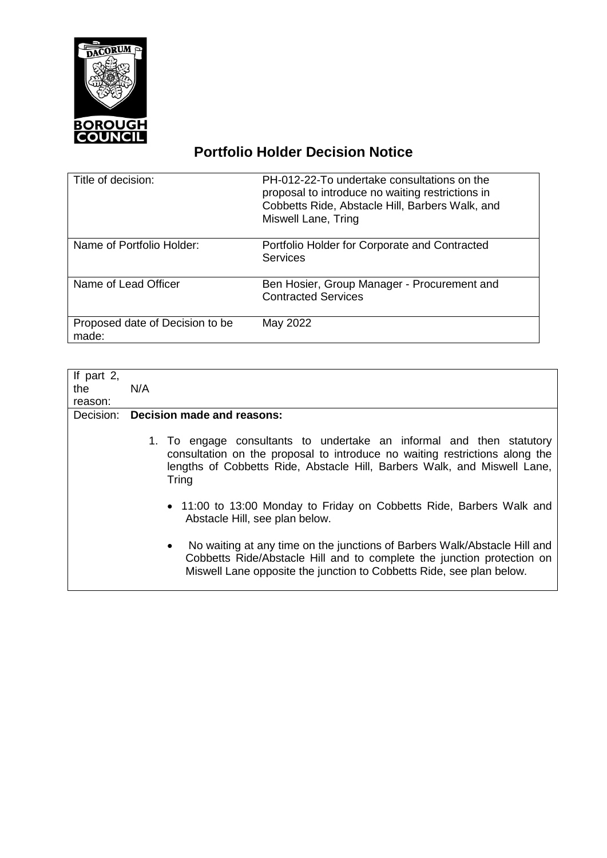

## **Portfolio Holder Decision Notice**

| Title of decision:                       | PH-012-22-To undertake consultations on the<br>proposal to introduce no waiting restrictions in<br>Cobbetts Ride, Abstacle Hill, Barbers Walk, and<br>Miswell Lane, Tring |
|------------------------------------------|---------------------------------------------------------------------------------------------------------------------------------------------------------------------------|
| Name of Portfolio Holder:                | Portfolio Holder for Corporate and Contracted<br><b>Services</b>                                                                                                          |
| Name of Lead Officer                     | Ben Hosier, Group Manager - Procurement and<br><b>Contracted Services</b>                                                                                                 |
| Proposed date of Decision to be<br>made: | May 2022                                                                                                                                                                  |

| If part $2$ , |                                                                                                                                                                                                                                          |
|---------------|------------------------------------------------------------------------------------------------------------------------------------------------------------------------------------------------------------------------------------------|
| the           | N/A                                                                                                                                                                                                                                      |
| reason:       |                                                                                                                                                                                                                                          |
| Decision:     | <b>Decision made and reasons:</b>                                                                                                                                                                                                        |
|               | 1. To engage consultants to undertake an informal and then statutory<br>consultation on the proposal to introduce no waiting restrictions along the<br>lengths of Cobbetts Ride, Abstacle Hill, Barbers Walk, and Miswell Lane,<br>Tring |
|               | • 11:00 to 13:00 Monday to Friday on Cobbetts Ride, Barbers Walk and<br>Abstacle Hill, see plan below.                                                                                                                                   |
|               | No waiting at any time on the junctions of Barbers Walk/Abstacle Hill and<br>$\bullet$<br>Cobbetts Ride/Abstacle Hill and to complete the junction protection on<br>Miswell Lane opposite the junction to Cobbetts Ride, see plan below. |